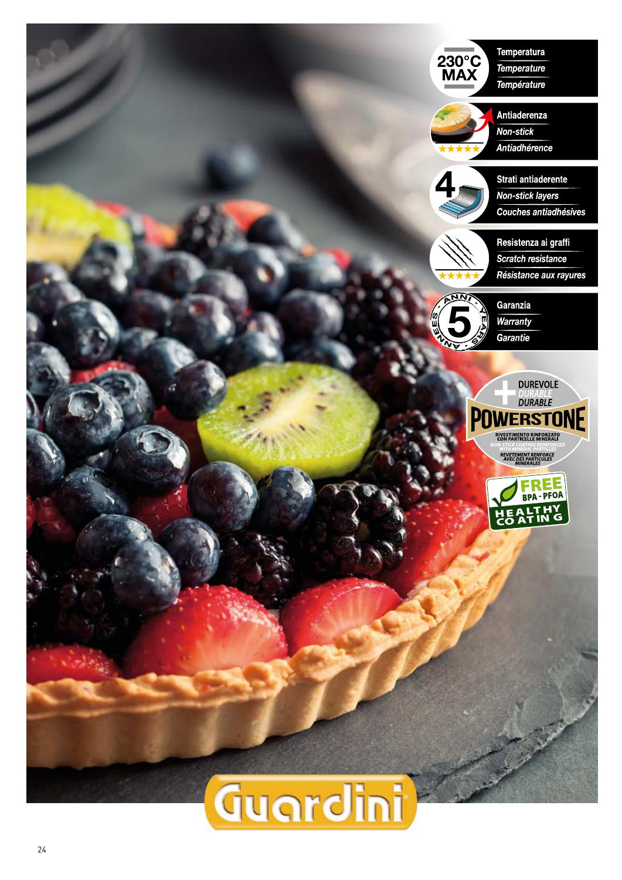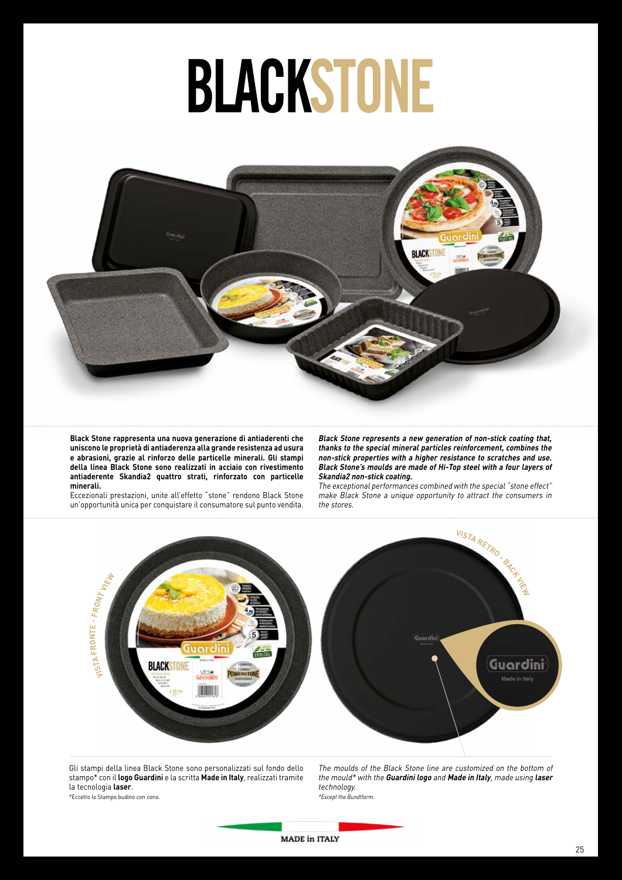

**Black Stone rappresenta una nuova generazione di antiaderenti che uniscono le proprietà di antiaderenza alla grande resistenza ad usura e abrasioni, grazie al rinforzo delle particelle minerali. Gli stampi della linea Black Stone sono realizzati in acciaio con rivestimento antiaderente Skandia2 quattro strati, rinforzato con particelle minerali.**

Eccezionali prestazioni, unite all'effetto "stone" rendono Black Stone un'opportunità unica per conquistare il consumatore sul punto vendita. **Black Stone represents a new generation of non-stick coating that, thanks to the special mineral particles reinforcement, combines the non-stick properties with a higher resistance to scratches and use. Black Stone's moulds are made of Hi-Top steel with a four layers of Skandia2 non-stick coating.**

The exceptional performances combined with the special "stone effect" make Black Stone a unique opportunity to attract the consumers in the stores.



Gli stampi della linea Black Stone sono personalizzati sul fondo dello stampo\* con il **logo Guardini** e la scritta **Made in Italy**, realizzati tramite la tecnologia **laser**.

The moulds of the Black Stone line are customized on the bottom of the mould\* with the **Guardini logo** and **Made in Italy**, made using **laser** technology. \*Except the Bundtform.

\*Eccetto lo Stampo budino con cono.

**MADE in ITALY**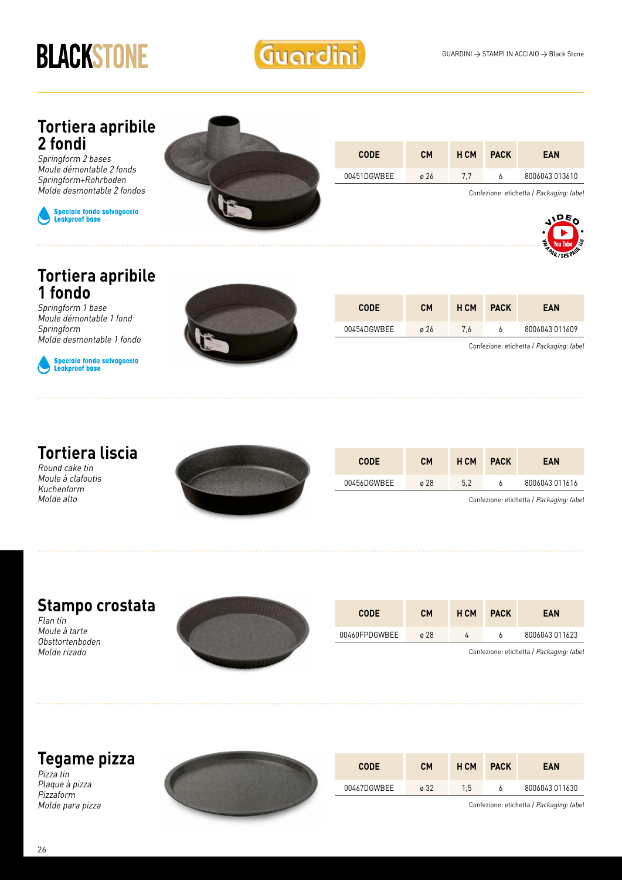

#### **Tortiera apribile 2 fondi**

Springform 2 bases Moule démontable 2 fonds Springform+Rohrboden Molde desmontable 2 fondos





| <b>CODE</b> | CМ               | <b>HCM</b> | <b>PACK</b> | <b>EAN</b>     |
|-------------|------------------|------------|-------------|----------------|
| 00451DGWBEE | $\varnothing$ 26 |            |             | 8006043 013610 |

Confezione: etichetta / Packaging: label



#### **Tortiera apribile 1 fondo**

Springform 1 base Moule démontable 1 fond Springform Molde desmontable 1 fondo



Speciale fondo salvagoccia<br>Leakproof base



| <b>CODE</b> | <b>CM</b>        | <b>HCM</b> | <b>PACK</b> | <b>EAN</b>     |
|-------------|------------------|------------|-------------|----------------|
| 00454DGWBEE | $\varnothing$ 26 | 7.6        |             | 8006043 011609 |

Confezione: etichetta / Packaging: label

#### **Tortiera liscia**

Round cake tin Moule à clafoutis Kuchenform Molde alto



| <b>CODE</b> | CМ          | <b>H CM</b> | <b>PACK</b> | <b>EAN</b>     |
|-------------|-------------|-------------|-------------|----------------|
| 00456DGWBEE | $\alpha$ 28 | 5.2         |             | 8006043 011616 |

Confezione: etichetta / Packaging: label

#### **Stampo crostata**

Flan tin Moule à tarte Obsttortenboden Molde rizado



| <b>CODE</b>   | <b>CM</b> | H CM | <b>PACK</b> | <b>EAN</b>                               |
|---------------|-----------|------|-------------|------------------------------------------|
| 00460FPDGWBEE | ø 28      |      |             | 8006043 011623                           |
|               |           |      |             | Confezione: etichetta / Packaging: label |

#### **Tegame pizza**

Pizza tin Plaque à pizza Pizzaform Molde para pizza



| <b>CODE</b> | CМ   | H CM | <b>PACK</b> | <b>EAN</b>     |
|-------------|------|------|-------------|----------------|
| 00467DGWBEE | ø 32 | 1.5  |             | 8006043 011630 |

Confezione: etichetta / Packaging: label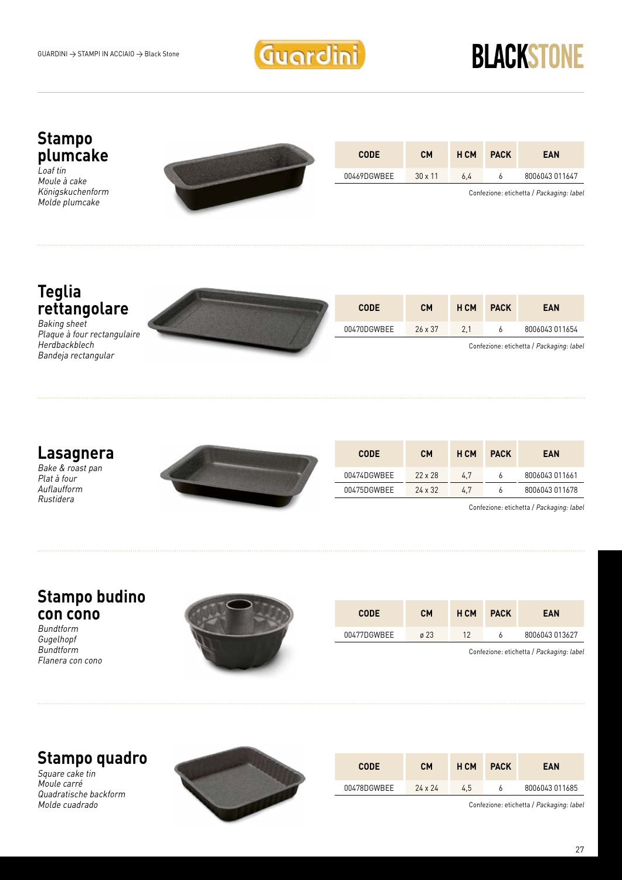

#### **Stampo plumcake**

 $\overline{L}$  pat tin Moule à cake Königskuchenform Molde plumcake



| <b>CODE</b> | <b>CM</b>      | <b>HCM</b> | <b>PACK</b> | <b>EAN</b>     |
|-------------|----------------|------------|-------------|----------------|
| 00469DGWBEE | $30 \times 11$ | 6.4        |             | 8006043 011647 |

Confezione: etichetta / Packaging: label

#### **Teglia rettangolare**

Baking sheet Plaque à four rectangulaire Herdbackblech Bandeja rectangular



| <b>CODE</b> | CМ             | H CM | <b>PACK</b> | <b>EAN</b>     |
|-------------|----------------|------|-------------|----------------|
| 00470DGWBEE | $26 \times 37$ | 2.1  |             | 8006043 011654 |

Confezione: etichetta / Packaging: label

#### **Lasagnera**

Bake & roast pan Plat à four Auflaufform Rustidera



| <b>CODE</b> | <b>CM</b>      | <b>HCM</b> | <b>PACK</b> | <b>EAN</b>     |
|-------------|----------------|------------|-------------|----------------|
| 00474DGWBEE | $22 \times 28$ | 4.7        |             | 8006043 011661 |
| 00475DGWBEE | $24 \times 32$ | 4.7        |             | 8006043 011678 |

Confezione: etichetta / Packaging: label

#### **Stampo budino con cono**

Bundtform **Guaelhopf Bundtform** Flanera con cono



| <b>CODE</b> | <b>CM</b>   | H CM | <b>PACK</b> | EAN            |
|-------------|-------------|------|-------------|----------------|
| 00477DGWBEE | $\alpha$ 23 | 12   |             | 8006043 013627 |

Confezione: etichetta / Packaging: label

#### **Stampo quadro**

Square cake tin Moule carré Quadratische backform Molde cuadrado



| <b>CODE</b> | <b>CM</b>      | H CM | <b>PACK</b> | <b>EAN</b>     |
|-------------|----------------|------|-------------|----------------|
| 00478DGWBEE | $24 \times 24$ | 4.5  |             | 8006043 011685 |

Confezione: etichetta / Packaging: label